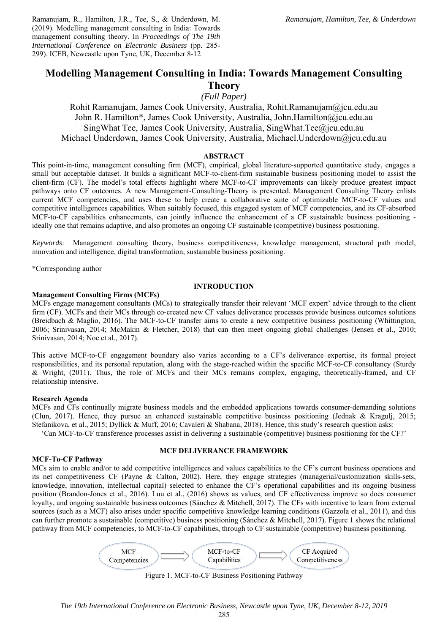Ramanujam, R., Hamilton, J.R., Tee, S., & Underdown, M. (2019). Modelling management consulting in India: Towards management consulting theory. In *Proceedings of The 19th International Conference on Electronic Business* (pp. 285- 299). ICEB, Newcastle upon Tyne, UK, December 8-12

# **Modelling Management Consulting in India: Towards Management Consulting Theory**

*(Full Paper)* 

Rohit Ramanujam, James Cook University, Australia, Rohit.Ramanujam@jcu.edu.au John R. Hamilton\*, James Cook University, Australia, John.Hamilton@jcu.edu.au SingWhat Tee, James Cook University, Australia, SingWhat.Tee@jcu.edu.au Michael Underdown, James Cook University, Australia, Michael.Underdown@jcu.edu.au

#### **ABSTRACT**

This point-in-time, management consulting firm (MCF), empirical, global literature-supported quantitative study, engages a small but acceptable dataset. It builds a significant MCF-to-client-firm sustainable business positioning model to assist the client-firm (CF). The model's total effects highlight where MCF-to-CF improvements can likely produce greatest impact pathways onto CF outcomes. A new Management-Consulting-Theory is presented. Management Consulting Theory enlists current MCF competencies, and uses these to help create a collaborative suite of optimizable MCF-to-CF values and competitive intelligences capabilities. When suitably focused, this engaged system of MCF competencies, and its CF-absorbed MCF-to-CF capabilities enhancements, can jointly influence the enhancement of a CF sustainable business positioning ideally one that remains adaptive, and also promotes an ongoing CF sustainable (competitive) business positioning.

*Keywords*: Management consulting theory, business competitiveness, knowledge management, structural path model, innovation and intelligence, digital transformation, sustainable business positioning.

 $\mathcal{L}_\text{max}$ \*Corresponding author

### **INTRODUCTION**

#### **Management Consulting Firms (MCFs)**

MCFs engage management consultants (MCs) to strategically transfer their relevant 'MCF expert' advice through to the client firm (CF). MCFs and their MCs through co-created new CF values deliverance processes provide business outcomes solutions (Breidbach & Maglio, 2016). The MCF-to-CF transfer aims to create a new competitive business positioning (Whittington, 2006; Srinivasan, 2014; McMakin & Fletcher, 2018) that can then meet ongoing global challenges (Jensen et al., 2010; Srinivasan, 2014; Noe et al., 2017).

This active MCF-to-CF engagement boundary also varies according to a CF's deliverance expertise, its formal project responsibilities, and its personal reputation, along with the stage-reached within the specific MCF-to-CF consultancy (Sturdy & Wright, (2011). Thus, the role of MCFs and their MCs remains complex, engaging, theoretically-framed, and CF relationship intensive.

#### **Research Agenda**

MCFs and CFs continually migrate business models and the embedded applications towards consumer-demanding solutions (Clun, 2017). Hence, they pursue an enhanced sustainable competitive business positioning (Jednak & Kragulj, 2015; Stefanikova, et al., 2015; Dyllick & Muff, 2016; Cavaleri & Shabana, 2018). Hence, this study's research question asks:

'Can MCF-to-CF transference processes assist in delivering a sustainable (competitive) business positioning for the CF?'

#### **MCF-To-CF Pathway**

#### **MCF DELIVERANCE FRAMEWORK**

MCs aim to enable and/or to add competitive intelligences and values capabilities to the CF's current business operations and its net competitiveness CF (Payne & Calton, 2002). Here, they engage strategies (managerial/customization skills-sets, knowledge, innovation, intellectual capital) selected to enhance the CF's operational capabilities and its ongoing business position (Brandon-Jones et al., 2016). Luu et al., (2016) shows as values, and CF effectiveness improve so does consumer loyalty, and ongoing sustainable business outcomes (Sánchez & Mitchell, 2017). The CFs with incentive to learn from external sources (such as a MCF) also arises under specific competitive knowledge learning conditions (Gazzola et al., 2011), and this can further promote a sustainable (competitive) business positioning (Sánchez & Mitchell, 2017). Figure 1 shows the relational pathway from MCF competencies, to MCF-to-CF capabilities, through to CF sustainable (competitive) business positioning.



Figure 1. MCF-to-CF Business Positioning Pathway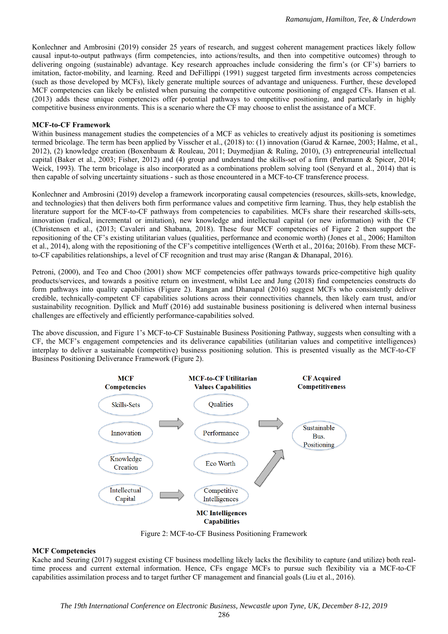Konlechner and Ambrosini (2019) consider 25 years of research, and suggest coherent management practices likely follow causal input-to-output pathways (firm competencies, into actions/results, and then into competitive outcomes) through to delivering ongoing (sustainable) advantage. Key research approaches include considering the firm's (or CF's) barriers to imitation, factor-mobility, and learning. Reed and DeFillippi (1991) suggest targeted firm investments across competencies (such as those developed by MCFs), likely generate multiple sources of advantage and uniqueness. Further, these developed MCF competencies can likely be enlisted when pursuing the competitive outcome positioning of engaged CFs. Hansen et al. (2013) adds these unique competencies offer potential pathways to competitive positioning, and particularly in highly competitive business environments. This is a scenario where the CF may choose to enlist the assistance of a MCF.

#### **MCF-to-CF Framework**

Within business management studies the competencies of a MCF as vehicles to creatively adjust its positioning is sometimes termed bricolage. The term has been applied by Visscher et al., (2018) to: (1) innovation (Garud & Karnøe, 2003; Halme, et al., 2012), (2) knowledge creation (Boxenbaum & Rouleau, 2011; Duymedjian & Ruling, 2010), (3) entrepreneurial intellectual capital (Baker et al., 2003; Fisher, 2012) and (4) group and understand the skills-set of a firm (Perkmann & Spicer, 2014; Weick, 1993). The term bricolage is also incorporated as a combinations problem solving tool (Senyard et al., 2014) that is then capable of solving uncertainty situations - such as those encountered in a MCF-to-CF transference process.

Konlechner and Ambrosini (2019) develop a framework incorporating causal competencies (resources, skills-sets, knowledge, and technologies) that then delivers both firm performance values and competitive firm learning. Thus, they help establish the literature support for the MCF-to-CF pathways from competencies to capabilities. MCFs share their researched skills-sets, innovation (radical, incremental or imitation), new knowledge and intellectual capital (or new information) with the CF (Christensen et al., (2013; Cavaleri and Shabana, 2018). These four MCF competencies of Figure 2 then support the repositioning of the CF's existing utilitarian values (qualities, performance and economic worth) (Jones et al., 2006; Hamilton et al., 2014), along with the repositioning of the CF's competitive intelligences (Werth et al., 2016a; 2016b). From these MCFto-CF capabilities relationships, a level of CF recognition and trust may arise (Rangan & Dhanapal, 2016).

Petroni, (2000), and Teo and Choo (2001) show MCF competencies offer pathways towards price-competitive high quality products/services, and towards a positive return on investment, whilst Lee and Jung (2018) find competencies constructs do form pathways into quality capabilities (Figure 2). Rangan and Dhanapal (2016) suggest MCFs who consistently deliver credible, technically-competent CF capabilities solutions across their connectivities channels, then likely earn trust, and/or sustainability recognition. Dyllick and Muff (2016) add sustainable business positioning is delivered when internal business challenges are effectively and efficiently performance-capabilities solved.

The above discussion, and Figure 1's MCF-to-CF Sustainable Business Positioning Pathway, suggests when consulting with a CF, the MCF's engagement competencies and its deliverance capabilities (utilitarian values and competitive intelligences) interplay to deliver a sustainable (competitive) business positioning solution. This is presented visually as the MCF-to-CF Business Positioning Deliverance Framework (Figure 2).



Figure 2: MCF-to-CF Business Positioning Framework

#### **MCF Competencies**

Kache and Seuring (2017) suggest existing CF business modelling likely lacks the flexibility to capture (and utilize) both realtime process and current external information. Hence, CFs engage MCFs to pursue such flexibility via a MCF-to-CF capabilities assimilation process and to target further CF management and financial goals (Liu et al., 2016).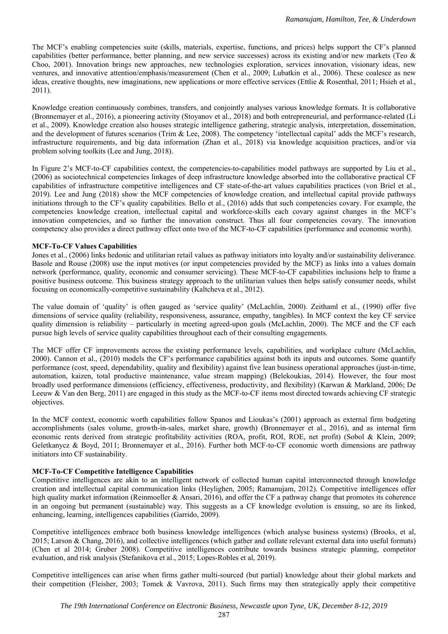The MCF's enabling competencies suite (skills, materials, expertise, functions, and prices) helps support the CF's planned capabilities (better performance, better planning, and new service successes) across its existing and/or new markets (Teo  $\&$ Choo, 2001). Innovation brings new approaches, new technologies exploration, services innovation, visionary ideas, new ventures, and innovative attention/emphasis/measurement (Chen et al., 2009; Lubatkin et al., 2006). These coalesce as new ideas, creative thoughts, new imaginations, new applications or more effective services (Ettlie & Rosenthal, 2011; Hsieh et al., 2011).

Knowledge creation continuously combines, transfers, and conjointly analyses various knowledge formats. It is collaborative (Bronnemayer et al., 2016), a pioneering activity (Stoyanov et al., 2018) and both entrepreneurial, and performance-related (Li et al., 2009). Knowledge creation also houses strategic intelligence gathering, strategic analysis, interpretation, dissemination, and the development of futures scenarios (Trim & Lee, 2008). The competency 'intellectual capital' adds the MCF's research, infrastructure requirements, and big data information (Zhan et al., 2018) via knowledge acquisition practices, and/or via problem solving toolkits (Lee and Jung, 2018).

In Figure 2's MCF-to-CF capabilities context, the competencies-to-capabilities model pathways are supported by Liu et al., (2006) as sociotechnical competencies linkages of deep infrastructure knowledge absorbed into the collaborative practical CF capabilities of infrastructure competitive intelligences and CF state-of-the-art values capabilities practices (von Briel et al., 2019). Lee and Jung (2018) show the MCF competencies of knowledge creation, and intellectual capital provide pathways initiations through to the CF's quality capabilities. Bello et al., (2016) adds that such competencies covary. For example, the competencies knowledge creation, intellectual capital and workforce-skills each covary against changes in the MCF's innovation competencies, and so further the innovation construct. Thus all four competencies covary. The innovation competency also provides a direct pathway effect onto two of the MCF-to-CF capabilities (performance and economic worth).

### **MCF-To-CF Values Capabilities**

Jones et al., (2006) links hedonic and utilitarian retail values as pathway initiators into loyalty and/or sustainability deliverance. Basole and Rouse (2008) use the input motives (or input competencies provided by the MCF) as links into a values domain network (performance, quality, economic and consumer servicing). These MCF-to-CF capabilities inclusions help to frame a positive business outcome. This business strategy approach to the utilitarian values then helps satisfy consumer needs, whilst focusing on economically-competitive sustainability (Kaltcheva et al., 2012).

The value domain of 'quality' is often gauged as 'service quality' (McLachlin, 2000). Zeithaml et al., (1990) offer five dimensions of service quality (reliability, responsiveness, assurance, empathy, tangibles). In MCF context the key CF service quality dimension is reliability – particularly in meeting agreed-upon goals (McLachlin, 2000). The MCF and the CF each pursue high levels of service quality capabilities throughout each of their consulting engagements.

The MCF offer CF improvements across the existing performance levels, capabilities, and workplace culture (McLachlin, 2000). Cannon et al., (2010) models the CF's performance capabilities against both its inputs and outcomes. Some quantify performance (cost, speed, dependability, quality and flexibility) against five lean business operational approaches (just-in-time, automation, kaizen, total productive maintenance, value stream mapping) (Belekoukias, 2014). However, the four most broadly used performance dimensions (efficiency, effectiveness, productivity, and flexibility) (Karwan & Markland, 2006; De Leeuw & Van den Berg, 2011) are engaged in this study as the MCF-to-CF items most directed towards achieving CF strategic objectives.

In the MCF context, economic worth capabilities follow Spanos and Lioukas's (2001) approach as external firm budgeting accomplishments (sales volume, growth-in-sales, market share, growth) (Bronnemayer et al., 2016), and as internal firm economic rents derived from strategic profitability activities (ROA, profit, ROI, ROE, net profit) (Sobol & Klein, 2009; Geletkanycz & Boyd, 2011; Bronnemayer et al., 2016). Further both MCF-to-CF economic worth dimensions are pathway initiators into CF sustainability.

# **MCF-To-CF Competitive Intelligence Capabilities**

Competitive intelligences are akin to an intelligent network of collected human capital interconnected through knowledge creation and intellectual capital communication links (Heylighen, 2005; Ramanujam, 2012). Competitive intelligences offer high quality market information (Reinmoeller & Ansari, 2016), and offer the CF a pathway change that promotes its coherence in an ongoing but permanent (sustainable) way. This suggests as a CF knowledge evolution is ensuing, so are its linked, enhancing, learning, intelligences capabilities (Garrido, 2009).

Competitive intelligences embrace both business knowledge intelligences (which analyse business systems) (Brooks, et al, 2015; Larson & Chang, 2016), and collective intelligences (which gather and collate relevant external data into useful formats) (Chen et al 2014; Gruber 2008). Competitive intelligences contribute towards business strategic planning, competitor evaluation, and risk analysis (Stefanikova et al., 2015; Lopes-Robles et al, 2019).

Competitive intelligences can arise when firms gather multi-sourced (but partial) knowledge about their global markets and their competition (Fleisher, 2003; Tomek & Vavrova, 2011). Such firms may then strategically apply their competitive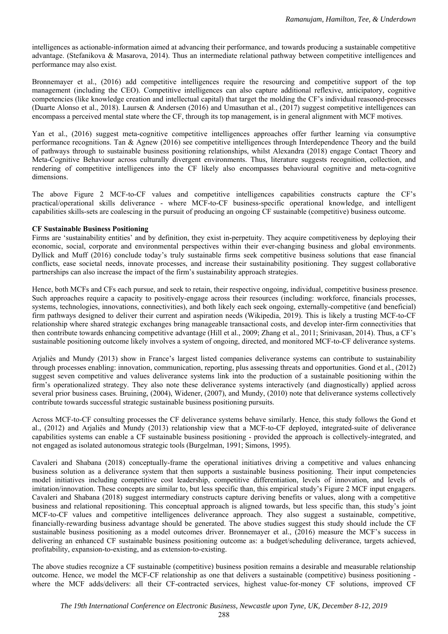intelligences as actionable-information aimed at advancing their performance, and towards producing a sustainable competitive advantage. (Stefanikova & Masarova, 2014). Thus an intermediate relational pathway between competitive intelligences and performance may also exist.

Bronnemayer et al., (2016) add competitive intelligences require the resourcing and competitive support of the top management (including the CEO). Competitive intelligences can also capture additional reflexive, anticipatory, cognitive competencies (like knowledge creation and intellectual capital) that target the molding the CF's individual reasoned-processes (Duarte Alonso et al., 2018). Laursen & Andersen (2016) and Umasuthan et al., (2017) suggest competitive intelligences can encompass a perceived mental state where the CF, through its top management, is in general alignment with MCF motives.

Yan et al., (2016) suggest meta-cognitive competitive intelligences approaches offer further learning via consumptive performance recognitions. Tan & Agnew (2016) see competitive intelligences through Interdependence Theory and the build of pathways through to sustainable business positioning relationships, whilst Alexandra (2018) engage Contact Theory and Meta-Cognitive Behaviour across culturally divergent environments. Thus, literature suggests recognition, collection, and rendering of competitive intelligences into the CF likely also encompasses behavioural cognitive and meta-cognitive dimensions.

The above Figure 2 MCF-to-CF values and competitive intelligences capabilities constructs capture the CF's practical/operational skills deliverance - where MCF-to-CF business-specific operational knowledge, and intelligent capabilities skills-sets are coalescing in the pursuit of producing an ongoing CF sustainable (competitive) business outcome.

### **CF Sustainable Business Positioning**

Firms are 'sustainability entities' and by definition, they exist in-perpetuity. They acquire competitiveness by deploying their economic, social, corporate and environmental perspectives within their ever-changing business and global environments. Dyllick and Muff (2016) conclude today's truly sustainable firms seek competitive business solutions that ease financial conflicts, ease societal needs, innovate processes, and increase their sustainability positioning. They suggest collaborative partnerships can also increase the impact of the firm's sustainability approach strategies.

Hence, both MCFs and CFs each pursue, and seek to retain, their respective ongoing, individual, competitive business presence. Such approaches require a capacity to positively-engage across their resources (including: workforce, financials processes, systems, technologies, innovations, connectivities), and both likely each seek ongoing, externally-competitive (and beneficial) firm pathways designed to deliver their current and aspiration needs (Wikipedia, 2019). This is likely a trusting MCF-to-CF relationship where shared strategic exchanges bring manageable transactional costs, and develop inter-firm connectivities that then contribute towards enhancing competitive advantage (Hill et al., 2009; Zhang et al., 2011; Srinivasan, 2014). Thus, a CF's sustainable positioning outcome likely involves a system of ongoing, directed, and monitored MCF-to-CF deliverance systems.

Arjaliès and Mundy (2013) show in France's largest listed companies deliverance systems can contribute to sustainability through processes enabling: innovation, communication, reporting, plus assessing threats and opportunities. Gond et al., (2012) suggest seven competitive and values deliverance systems link into the production of a sustainable positioning within the firm's operationalized strategy. They also note these deliverance systems interactively (and diagnostically) applied across several prior business cases. Bruining, (2004), Widener, (2007), and Mundy, (2010) note that deliverance systems collectively contribute towards successful strategic sustainable business positioning pursuits.

Across MCF-to-CF consulting processes the CF deliverance systems behave similarly. Hence, this study follows the Gond et al., (2012) and Arjaliès and Mundy (2013) relationship view that a MCF-to-CF deployed, integrated-suite of deliverance capabilities systems can enable a CF sustainable business positioning - provided the approach is collectively-integrated, and not engaged as isolated autonomous strategic tools (Burgelman, 1991; Simons, 1995).

Cavaleri and Shabana (2018) conceptually-frame the operational initiatives driving a competitive and values enhancing business solution as a deliverance system that then supports a sustainable business positioning. Their input competencies model initiatives including competitive cost leadership, competitive differentiation, levels of innovation, and levels of imitation/innovation. These concepts are similar to, but less specific than, this empirical study's Figure 2 MCF input engagers. Cavaleri and Shabana (2018) suggest intermediary constructs capture deriving benefits or values, along with a competitive business and relational repositioning. This conceptual approach is aligned towards, but less specific than, this study's joint MCF-to-CF values and competitive intelligences deliverance approach. They also suggest a sustainable, competitive, financially-rewarding business advantage should be generated. The above studies suggest this study should include the CF sustainable business positioning as a model outcomes driver. Bronnemayer et al., (2016) measure the MCF's success in delivering an enhanced CF sustainable business positioning outcome as: a budget/scheduling deliverance, targets achieved, profitability, expansion-to-existing, and as extension-to-existing.

The above studies recognize a CF sustainable (competitive) business position remains a desirable and measurable relationship outcome. Hence, we model the MCF-CF relationship as one that delivers a sustainable (competitive) business positioning where the MCF adds/delivers: all their CF-contracted services, highest value-for-money CF solutions, improved CF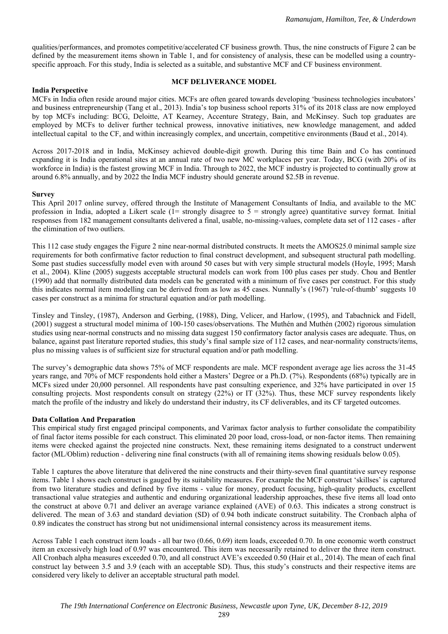qualities/performances, and promotes competitive/accelerated CF business growth. Thus, the nine constructs of Figure 2 can be defined by the measurement items shown in Table 1, and for consistency of analysis, these can be modelled using a countryspecific approach. For this study, India is selected as a suitable, and substantive MCF and CF business environment.

### **MCF DELIVERANCE MODEL**

### **India Perspective**

MCFs in India often reside around major cities. MCFs are often geared towards developing 'business technologies incubators' and business entrepreneurship (Tang et al., 2013). India's top business school reports 31% of its 2018 class are now employed by top MCFs including: BCG, Deloitte, AT Kearney, Accenture Strategy, Bain, and McKinsey. Such top graduates are employed by MCFs to deliver further technical prowess, innovative initiatives, new knowledge management, and added intellectual capital to the CF, and within increasingly complex, and uncertain, competitive environments (Baud et al., 2014).

Across 2017-2018 and in India, McKinsey achieved double-digit growth. During this time Bain and Co has continued expanding it is India operational sites at an annual rate of two new MC workplaces per year. Today, BCG (with 20% of its workforce in India) is the fastest growing MCF in India. Through to 2022, the MCF industry is projected to continually grow at around 6.8% annually, and by 2022 the India MCF industry should generate around \$2.5B in revenue.

### **Survey**

This April 2017 online survey, offered through the Institute of Management Consultants of India, and available to the MC profession in India, adopted a Likert scale  $(1=$  strongly disagree to  $5 =$  strongly agree) quantitative survey format. Initial responses from 182 management consultants delivered a final, usable, no-missing-values, complete data set of 112 cases - after the elimination of two outliers.

This 112 case study engages the Figure 2 nine near-normal distributed constructs. It meets the AMOS25.0 minimal sample size requirements for both confirmative factor reduction to final construct development, and subsequent structural path modelling. Some past studies successfully model even with around 50 cases but with very simple structural models (Hoyle, 1995; Marsh et al., 2004). Kline (2005) suggests acceptable structural models can work from 100 plus cases per study. Chou and Bentler (1990) add that normally distributed data models can be generated with a minimum of five cases per construct. For this study this indicates normal item modelling can be derived from as low as 45 cases. Nunnally's (1967) 'rule-of-thumb' suggests 10 cases per construct as a minima for structural equation and/or path modelling.

Tinsley and Tinsley, (1987), Anderson and Gerbing, (1988), Ding, Velicer, and Harlow, (1995), and Tabachnick and Fidell, (2001) suggest a structural model minima of 100-150 cases/observations. The Muthén and Muthén (2002) rigorous simulation studies using near-normal constructs and no missing data suggest 150 confirmatory factor analysis cases are adequate. Thus, on balance, against past literature reported studies, this study's final sample size of 112 cases, and near-normality constructs/items, plus no missing values is of sufficient size for structural equation and/or path modelling.

The survey's demographic data shows 75% of MCF respondents are male. MCF respondent average age lies across the 31-45 years range, and 70% of MCF respondents hold either a Masters' Degree or a Ph.D. (7%). Respondents (68%) typically are in MCFs sized under 20,000 personnel. All respondents have past consulting experience, and 32% have participated in over 15 consulting projects. Most respondents consult on strategy (22%) or IT (32%). Thus, these MCF survey respondents likely match the profile of the industry and likely do understand their industry, its CF deliverables, and its CF targeted outcomes.

# **Data Collation And Preparation**

This empirical study first engaged principal components, and Varimax factor analysis to further consolidate the compatibility of final factor items possible for each construct. This eliminated 20 poor load, cross-load, or non-factor items. Then remaining items were checked against the projected nine constructs. Next, these remaining items designated to a construct underwent factor (ML/Oblim) reduction - delivering nine final constructs (with all of remaining items showing residuals below 0.05).

Table 1 captures the above literature that delivered the nine constructs and their thirty-seven final quantitative survey response items. Table 1 shows each construct is gauged by its suitability measures. For example the MCF construct 'skillses' is captured from two literature studies and defined by five items - value for money, product focusing, high-quality products, excellent transactional value strategies and authentic and enduring organizational leadership approaches, these five items all load onto the construct at above 0.71 and deliver an average variance explained (AVE) of 0.63. This indicates a strong construct is delivered. The mean of 3.63 and standard deviation (SD) of 0.94 both indicate construct suitability. The Cronbach alpha of 0.89 indicates the construct has strong but not unidimensional internal consistency across its measurement items.

Across Table 1 each construct item loads - all bar two (0.66, 0.69) item loads, exceeded 0.70. In one economic worth construct item an excessively high load of 0.97 was encountered. This item was necessarily retained to deliver the three item construct. All Cronbach alpha measures exceeded 0.70, and all construct AVE's exceeded 0.50 (Hair et al., 2014). The mean of each final construct lay between 3.5 and 3.9 (each with an acceptable SD). Thus, this study's constructs and their respective items are considered very likely to deliver an acceptable structural path model.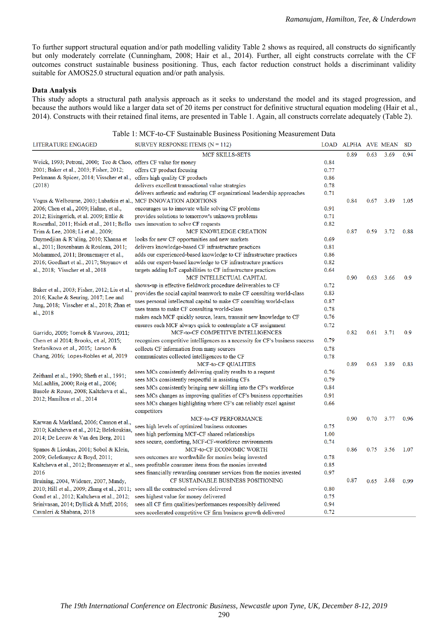To further support structural equation and/or path modelling validity Table 2 shows as required, all constructs do significantly but only moderately correlate (Cunningham, 2008; Hair et al., 2014). Further, all eight constructs correlate with the CF outcomes construct sustainable business positioning. Thus, each factor reduction construct holds a discriminant validity suitable for AMOS25.0 structural equation and/or path analysis.

#### **Data Analysis**

This study adopts a structural path analysis approach as it seeks to understand the model and its staged progression, and because the authors would like a larger data set of 20 items per construct for definitive structural equation modeling (Hair et al., 2014). Constructs with their retained final items, are presented in Table 1. Again, all constructs correlate adequately (Table 2).

|  |  | Table 1: MCF-to-CF Sustainable Business Positioning Measurement Data |  |
|--|--|----------------------------------------------------------------------|--|
|--|--|----------------------------------------------------------------------|--|

| <b>LITERATURE ENGAGED</b>                                                               | SURVEY RESPONSE ITEMS $(N = 112)$                                                                   |      | LOAD ALPHA AVE MEAN |      |      | <b>SD</b> |
|-----------------------------------------------------------------------------------------|-----------------------------------------------------------------------------------------------------|------|---------------------|------|------|-----------|
|                                                                                         | <b>MCF SKILLS-SETS</b>                                                                              |      | 0.89                | 0.63 | 3.69 | 0.94      |
| Weick, 1993; Petroni, 2000; Teo & Choo, offers CF value for money                       |                                                                                                     | 0.84 |                     |      |      |           |
| 2001; Baker et al., 2003; Fisher, 2012;                                                 | offers CF product focusing                                                                          | 0.77 |                     |      |      |           |
| Perkmann & Spicer, 2014; Visscher et al., offers high quality CF products               |                                                                                                     | 0.86 |                     |      |      |           |
| (2018)                                                                                  | delivers excellent transactional value strategies                                                   | 0.78 |                     |      |      |           |
|                                                                                         | delivers authentic and enduring CF organizational leadership approaches                             | 0.71 |                     |      |      |           |
| Vogus & Welbourne, 2003; Lubatkin et al., MCF INNOVATION ADDITIONS                      |                                                                                                     |      | 0.84                | 0.67 | 3.49 | 1.05      |
| 2006; Chen et al., 2009; Halme, et al.,                                                 | encourages us to innovate while solving CF problems                                                 | 0.91 |                     |      |      |           |
| 2012; Eisingerich, et al. 2009; Ettlie &                                                | provides solutions to tomorrow's unknown problems                                                   | 0.71 |                     |      |      |           |
| Rosenthal, 2011; Hsieh et al., 2011; Bello uses innovation to solve CF requests         |                                                                                                     | 0.82 |                     |      |      |           |
| Trim & Lee, 2008; Li et al., 2009;                                                      | MCF KNOWLEDGE CREATION                                                                              |      | 0.87                | 0.59 | 3.72 | 0.88      |
| Duymedjian & R"uling, 2010; Khanna et                                                   | looks for new CF opportunities and new markets                                                      | 0.69 |                     |      |      |           |
| al., 2011; Boxenbaum & Rouleau, 2011;                                                   | delivers knowledge-based CF infrastructure practices                                                | 0.81 |                     |      |      |           |
| Mohammed, 2011; Bronnemayer et al.,                                                     | adds our experienced-based knowledge to CF infrastructure practices                                 | 0.86 |                     |      |      |           |
| 2016; Goedhart et al., 2017; Stoyanov et                                                | adds our expert-based knowledge to CF infrastructure practices                                      | 0.82 |                     |      |      |           |
| al., 2018; Visscher et al., 2018                                                        | targets adding IoT capabilities to CF infrastructure practices                                      | 0.64 |                     |      |      |           |
|                                                                                         | MCF INTELLECTUAL CAPITAL                                                                            |      | 0.90                | 0.63 | 3.66 | 0.9       |
|                                                                                         | shows-up in effective fieldwork procedure deliverables to CF                                        | 0.72 |                     |      |      |           |
| Baker et al., 2003; Fisher, 2012; Liu et al.,                                           | provides the social capital teamwork to make CF consulting world-class                              | 0.83 |                     |      |      |           |
| 2016; Kache & Seuring, 2017; Lee and                                                    | uses personal intellectual capital to make CF consulting world-class                                | 0.87 |                     |      |      |           |
| Jung, 2018; Visscher et al., 2018; Zhan et                                              | uses teams to make CF consulting world-class                                                        | 0.78 |                     |      |      |           |
| al., 2018                                                                               | makes each MCF quickly source, learn, transmit new knowledge to CF                                  | 0.76 |                     |      |      |           |
|                                                                                         | ensures each MCF always quick to contemplate a CF assignment                                        | 0.72 |                     |      |      |           |
| Garrido, 2009; Tomek & Vavrova, 2011;                                                   | MCF-to-CF COMPETITVE INTELLIGENCES                                                                  |      | 0.82                | 0.61 | 3.71 | 0.9       |
| Chen et al 2014; Brooks, et al, 2015;                                                   | recognizes competitive intelligences as a necessity for CF's business success                       | 0.79 |                     |      |      |           |
| Stefanikova et al., 2015; Larson &                                                      | collects CF information from many sources                                                           | 0.78 |                     |      |      |           |
| Chang, 2016; Lopes-Robles et al, 2019                                                   | communicates collected intelligences to the CF                                                      | 0.78 |                     |      |      |           |
|                                                                                         | MCF-to-CF QUALITIES                                                                                 |      | 0.89                | 0.63 | 3.89 | 0.83      |
|                                                                                         | sees MCs consistently delivering quality results to a request                                       | 0.76 |                     |      |      |           |
| Zeithaml et al., 1990; Sheth et al., 1991;                                              | sees MCs consistently respectful in assisting CFs                                                   | 0.79 |                     |      |      |           |
| McLachlin, 2000; Roig et al., 2006;                                                     | sees MCs consistently bringing new skilling into the CF's workforce                                 | 0.84 |                     |      |      |           |
| Basole & Rouse, 2008; Kaltcheva et al.,                                                 | sees MCs changes as improving qualities of CF's business opportunities                              | 0.91 |                     |      |      |           |
| 2012; Hamilton et al., 2014                                                             | sees MCs changes highlighting where CF's can reliably excel against                                 | 0.66 |                     |      |      |           |
|                                                                                         | competitors                                                                                         |      |                     |      |      |           |
|                                                                                         | MCF-to-CF PERFORMANCE                                                                               |      | 0.90                | 0.70 | 3.77 | 0.96      |
| Karwan & Markland, 2006; Cannon et al.,                                                 | sees high levels of optimized business outcomes                                                     | 0.75 |                     |      |      |           |
| 2010; Kaltcheva et al., 2012; Belekoukias,                                              | sees high performing MCF-CF shared relationships                                                    | 1.00 |                     |      |      |           |
| 2014; De Leeuw & Van den Berg, 2011                                                     | sees secure, comforting, MCF-CF-workforce environments                                              | 0.74 |                     |      |      |           |
| Spanos & Lioukas, 2001; Sobol & Klein,                                                  | MCF-to-CF ECONOMIC WORTH                                                                            |      | 0.86                | 0.75 | 3.56 | 1.07      |
| 2009; Geletkanycz & Boyd, 2011;                                                         | sees outcomes are worthwhile for monies being invested                                              | 0.78 |                     |      |      |           |
|                                                                                         | Kaltcheva et al., 2012; Bronnemayer et al., sees profitable consumer items from the monies invested | 0.85 |                     |      |      |           |
| 2016                                                                                    | sees financially rewarding consumer services from the monies invested                               | 0.97 |                     |      |      |           |
| Bruining, 2004, Widener, 2007, Mundy,                                                   | CF SUSTAINABLE BUSINESS POSITIONING                                                                 |      | 0.87                | 0.65 | 3.68 | 0.99      |
| 2010; Hill et al., 2009; Zhang et al., 2011; sees all the contracted services delivered |                                                                                                     | 0.80 |                     |      |      |           |
| Gond et al., 2012; Kaltcheva et al., 2012;                                              | sees highest value for money delivered                                                              | 0.75 |                     |      |      |           |
| Srinivasan, 2014; Dyllick & Muff, 2016;                                                 | sees all CF firm qualities/performances responsibly delivered                                       | 0.94 |                     |      |      |           |
| Cavaleri & Shabana, 2018                                                                | sees accelerated competitive CF firm business growth delivered                                      | 0.72 |                     |      |      |           |
|                                                                                         |                                                                                                     |      |                     |      |      |           |

290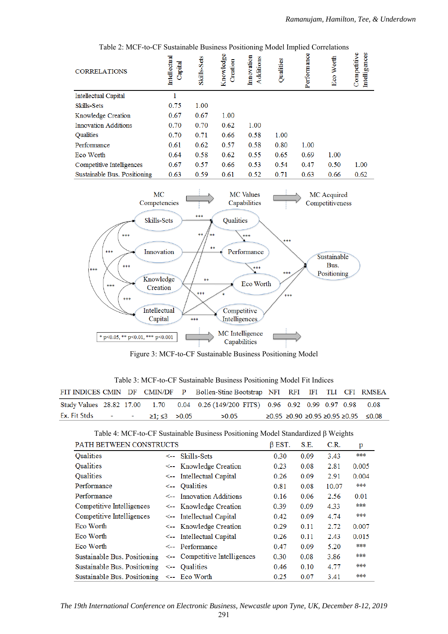| <b>CORRELATIONS</b>          | <b>Intellectual</b><br>Capital | Skills-Sets | $\ldots$<br>Knowledge<br>Creation | Innovation<br>Additions | $1.20$ we a $2.22$<br>Qualities | Performance | Worth<br>Eco | Competitive<br>Intelligences |
|------------------------------|--------------------------------|-------------|-----------------------------------|-------------------------|---------------------------------|-------------|--------------|------------------------------|
| <b>Intellectual Capital</b>  |                                |             |                                   |                         |                                 |             |              |                              |
| Skills-Sets                  | 0.75                           | 1.00        |                                   |                         |                                 |             |              |                              |
| Knowledge Creation           | 0.67                           | 0.67        | 1.00                              |                         |                                 |             |              |                              |
| <b>Innovation Additions</b>  | 0.70                           | 0.70        | 0.62                              | 1.00                    |                                 |             |              |                              |
| <b>Qualities</b>             | 0.70                           | 0.71        | 0.66                              | 0.58                    | 1.00                            |             |              |                              |
| Performance                  | 0.61                           | 0.62        | 0.57                              | 0.58                    | 0.80                            | 1.00        |              |                              |
| Eco Worth                    | 0.64                           | 0.58        | 0.62                              | 0.55                    | 0.65                            | 0.69        | 1.00         |                              |
| Competitive Intelligences    | 0.67                           | 0.57        | 0.66                              | 0.53                    | 0.54                            | 0.47        | 0.50         | 1.00                         |
| Sustainable Bus. Positioning | 0.63                           | 0.59        | 0.61                              | 0.52                    | 0.71                            | 0.63        | 0.66         | 0.62                         |

Table 2: MCF-to-CF Sustainable Business Positioning Model Implied Correlations



Figure 3: MCF-to-CF Sustainable Business Positioning Model

Table 3: MCF-to-CF Sustainable Business Positioning Model Fit Indices

|              |  |                           | FIT INDICES CMIN DF CMIN/DF P Bollen-Stine Bootstrap NFI RFI IFI TLI CFI RMSEA       |  |  |                                            |
|--------------|--|---------------------------|--------------------------------------------------------------------------------------|--|--|--------------------------------------------|
|              |  |                           | Study Values 28.82 17.00 1.70 0.04 0.26 (149/200 FITS) 0.96 0.92 0.99 0.97 0.98 0.08 |  |  |                                            |
| Ex. Fit Stds |  | $\geq 1: \leq 3$ $> 0.05$ | >0.05                                                                                |  |  | $≥0.95 ≥ 0.90 ≥ 0.95 ≥ 0.95 ≥ 0.95 ≤ 0.08$ |

Table 4: MCF-to-CF Sustainable Business Positioning Model Standardized β Weights

| PATH BETWEEN CONSTRUCTS      | $\beta$ EST.                      | S.E. | C.R. | p     |       |
|------------------------------|-----------------------------------|------|------|-------|-------|
| <b>Qualities</b>             | $\leq$ Skills-Sets                | 0.30 | 0.09 | 3.43  | ***   |
| Qualities                    | <-- Knowledge Creation            | 0.23 | 0.08 | 2.81  | 0.005 |
| <b>Qualities</b>             | $\leq$ -- Intellectual Capital    | 0.26 | 0.09 | 2.91  | 0.004 |
| Performance                  | $\leftarrow$ Qualities            | 0.81 | 0.08 | 10.07 | ***   |
| Performance                  | $\leq$ Innovation Additions       | 0.16 | 0.06 | 2.56  | 0.01  |
| Competitive Intelligences    | <-- Knowledge Creation            | 0.39 | 0.09 | 4.33  | ***   |
| Competitive Intelligences    | $\leftarrow$ Intellectual Capital | 0.42 | 0.09 | 4.74  | ***   |
| Eco Worth                    | <-- Knowledge Creation            | 0.29 | 0.11 | 2.72  | 0.007 |
| Eco Worth                    | $\leftarrow$ Intellectual Capital | 0.26 | 0.11 | 2.43  | 0.015 |
| Eco Worth                    | <-- Performance                   | 0.47 | 0.09 | 5.20  | ***   |
| Sustainable Bus. Positioning | <-- Competitive Intelligences     | 0.30 | 0.08 | 3.86  | ***   |
| Sustainable Bus. Positioning | $\leftarrow$ Oualities            | 0.46 | 0.10 | 4.77  | ***   |
| Sustainable Bus. Positioning | $\leq$ -- Eco Worth               | 0.25 | 0.07 | 3.41  | ***   |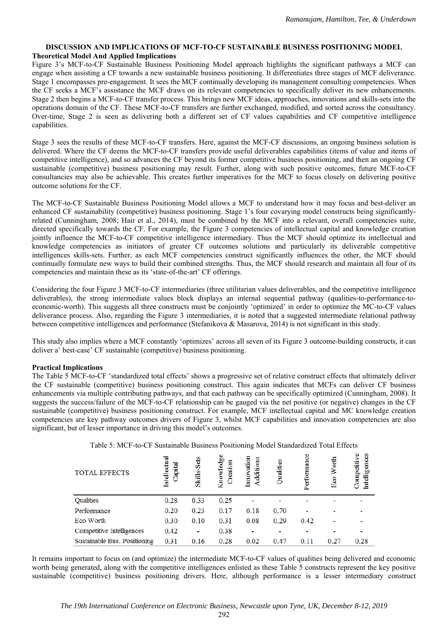### **DISCUSSION AND IMPLICATIONS OF MCF-TO-CF SUSTAINABLE BUSINESS POSITIONING MODEL Theoretical Model And Applied Implications**

Figure 3's MCF-to-CF Sustainable Business Positioning Model approach highlights the significant pathways a MCF can engage when assisting a CF towards a new sustainable business positioning. It differentiates three stages of MCF deliverance. Stage 1 encompasses pre-engagement. It sees the MCF continually developing its management consulting competencies. When the CF seeks a MCF's assistance the MCF draws on its relevant competencies to specifically deliver its new enhancements. Stage 2 then begins a MCF-to-CF transfer process. This brings new MCF ideas, approaches, innovations and skills-sets into the operations domain of the CF. These MCF-to-CF transfers are further exchanged, modified, and sorted across the consultancy. Over-time, Stage 2 is seen as delivering both a different set of CF values capabilities and CF competitive intelligence capabilities.

Stage 3 sees the results of these MCF-to-CF transfers. Here, against the MCF-CF discussions, an ongoing business solution is delivered. Where the CF deems the MCF-to-CF transfers provide useful deliverables capabilities (items of value and items of competitive intelligence), and so advances the CF beyond its former competitive business positioning, and then an ongoing CF sustainable (competitive) business positioning may result. Further, along with such positive outcomes, future MCF-to-CF consultancies may also be achievable. This creates further imperatives for the MCF to focus closely on delivering positive outcome solutions for the CF.

The MCF-to-CF Sustainable Business Positioning Model allows a MCF to understand how it may focus and best-deliver an enhanced CF sustainability (competitive) business positioning. Stage 1's four covarying model constructs being significantlyrelated (Cunningham, 2008; Hair et al., 2014), must be combined by the MCF into a relevant, overall competencies suite, directed specifically towards the CF. For example, the Figure 3 competencies of intellectual capital and knowledge creation jointly influence the MCF-to-CF competitive intelligence intermediary. Thus the MCF should optimize its intellectual and knowledge competencies as initiators of greater CF outcomes solutions and particularly its deliverable competitive intelligences skills-sets. Further, as each MCF competencies construct significantly influences the other, the MCF should continually formulate new ways to build their combined strengths. Thus, the MCF should research and maintain all four of its competencies and maintain these as its 'state-of-the-art' CF offerings.

Considering the four Figure 3 MCF-to-CF intermediaries (three utilitarian values deliverables, and the competitive intelligence deliverables), the strong intermediate values block displays an internal sequential pathway (qualities-to-performance-toeconomic-worth). This suggests all three constructs must be conjointly 'optimized' in order to optimize the MC-to-CF values deliverance process. Also, regarding the Figure 3 intermediaries, it is noted that a suggested intermediate relational pathway between competitive intelligences and performance (Stefanikova & Masarova, 2014) is not significant in this study.

This study also implies where a MCF constantly 'optimizes' across all seven of its Figure 3 outcome-building constructs, it can deliver a' best-case' CF sustainable (competitive) business positioning.

# **Practical Implications**

The Table 5 MCF-to-CF 'standardized total effects' shows a progressive set of relative construct effects that ultimately deliver the CF sustainable (competitive) business positioning construct. This again indicates that MCFs can deliver CF business enhancements via multiple contributing pathways, and that each pathway can be specifically optimized (Cunningham, 2008). It suggests the success/failure of the MCF-to-CF relationship can be gauged via the net positive (or negative) changes in the CF sustainable (competitive) business positioning construct. For example, MCF intellectual capital and MC knowledge creation competencies are key pathway outcomes drivers of Figure 3, whilst MCF capabilities and innovation competencies are also significant, but of lesser importance in driving this model's outcomes.

| <b>TOTAL EFFECTS</b>         | <b>Intellectual</b><br>Capital | Skills-Sets    | Knowledge<br>Creation | Innovation<br>Additions | 8<br>Qualiti | Performance | Worth<br>$E_{00}$ | Competitive<br>ces<br>gen<br>9<br><u>Intell</u> |
|------------------------------|--------------------------------|----------------|-----------------------|-------------------------|--------------|-------------|-------------------|-------------------------------------------------|
| Qualities                    | 0.28                           | 0.33           | 0.25                  |                         |              |             |                   |                                                 |
| Performance                  | 0.20                           | 0.23           | 0.17                  | 0.18                    | 0.70         |             |                   |                                                 |
| Eco Worth                    | 0.30                           | 0.10           | 0.31                  | 0.08                    | 0.29         | 0.42        |                   |                                                 |
| Competitive Intelligences    | 0.42                           | $\blacksquare$ | 0.38                  |                         |              |             |                   |                                                 |
| Sustainable Bus. Positioning | 0.31                           | 0.16           | 0.28                  | 0.02                    | 0.47         | 0.11        | 0.27              | 0.28                                            |

Table 5: MCF-to-CF Sustainable Business Positioning Model Standardized Total Effects

It remains important to focus on (and optimize) the intermediate MCF-to-CF values of qualities being delivered and economic worth being generated, along with the competitive intelligences enlisted as these Table 5 constructs represent the key positive sustainable (competitive) business positioning drivers. Here, although performance is a lesser intermediary construct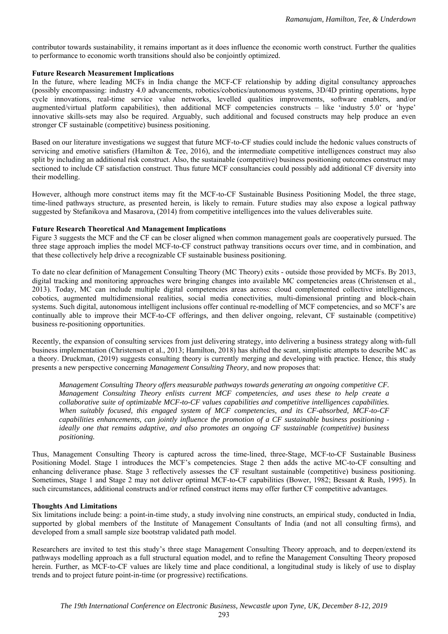contributor towards sustainability, it remains important as it does influence the economic worth construct. Further the qualities to performance to economic worth transitions should also be conjointly optimized.

#### **Future Research Measurement Implications**

In the future, where leading MCFs in India change the MCF-CF relationship by adding digital consultancy approaches (possibly encompassing: industry 4.0 advancements, robotics/cobotics/autonomous systems, 3D/4D printing operations, hype cycle innovations, real-time service value networks, levelled qualities improvements, software enablers, and/or augmented/virtual platform capabilities), then additional MCF competencies constructs – like 'industry 5.0' or 'hype' innovative skills-sets may also be required. Arguably, such additional and focused constructs may help produce an even stronger CF sustainable (competitive) business positioning.

Based on our literature investigations we suggest that future MCF-to-CF studies could include the hedonic values constructs of servicing and emotive satisfiers (Hamilton & Tee, 2016), and the intermediate competitive intelligences construct may also split by including an additional risk construct. Also, the sustainable (competitive) business positioning outcomes construct may sectioned to include CF satisfaction construct. Thus future MCF consultancies could possibly add additional CF diversity into their modelling.

However, although more construct items may fit the MCF-to-CF Sustainable Business Positioning Model, the three stage, time-lined pathways structure, as presented herein, is likely to remain. Future studies may also expose a logical pathway suggested by Stefanikova and Masarova, (2014) from competitive intelligences into the values deliverables suite.

#### **Future Research Theoretical And Management Implications**

Figure 3 suggests the MCF and the CF can be closer aligned when common management goals are cooperatively pursued. The three stage approach implies the model MCF-to-CF construct pathway transitions occurs over time, and in combination, and that these collectively help drive a recognizable CF sustainable business positioning.

To date no clear definition of Management Consulting Theory (MC Theory) exits - outside those provided by MCFs. By 2013, digital tracking and monitoring approaches were bringing changes into available MC competencies areas (Christensen et al., 2013). Today, MC can include multiple digital competencies areas across: cloud complemented collective intelligences, cobotics, augmented multidimensional realities, social media conectivities, multi-dimensional printing and block-chain systems. Such digital, autonomous intelligent inclusions offer continual re-modelling of MCF competencies, and so MCF's are continually able to improve their MCF-to-CF offerings, and then deliver ongoing, relevant, CF sustainable (competitive) business re-positioning opportunities.

Recently, the expansion of consulting services from just delivering strategy, into delivering a business strategy along with-full business implementation (Christensen et al., 2013; Hamilton, 2018) has shifted the scant, simplistic attempts to describe MC as a theory. Druckman, (2019) suggests consulting theory is currently merging and developing with practice. Hence, this study presents a new perspective concerning *Management Consulting Theory*, and now proposes that:

*Management Consulting Theory offers measurable pathways towards generating an ongoing competitive CF. Management Consulting Theory enlists current MCF competencies, and uses these to help create a collaborative suite of optimizable MCF-to-CF values capabilities and competitive intelligences capabilities. When suitably focused, this engaged system of MCF competencies, and its CF-absorbed, MCF-to-CF capabilities enhancements, can jointly influence the promotion of a CF sustainable business positioning ideally one that remains adaptive, and also promotes an ongoing CF sustainable (competitive) business positioning.* 

Thus, Management Consulting Theory is captured across the time-lined, three-Stage, MCF-to-CF Sustainable Business Positioning Model. Stage 1 introduces the MCF's competencies. Stage 2 then adds the active MC-to-CF consulting and enhancing deliverance phase. Stage 3 reflectively assesses the CF resultant sustainable (competitive) business positioning. Sometimes, Stage 1 and Stage 2 may not deliver optimal MCF-to-CF capabilities (Bower, 1982; Bessant & Rush, 1995). In such circumstances, additional constructs and/or refined construct items may offer further CF competitive advantages.

#### **Thoughts And Limitations**

Six limitations include being: a point-in-time study, a study involving nine constructs, an empirical study, conducted in India, supported by global members of the Institute of Management Consultants of India (and not all consulting firms), and developed from a small sample size bootstrap validated path model.

Researchers are invited to test this study's three stage Management Consulting Theory approach, and to deepen/extend its pathways modelling approach as a full structural equation model, and to refine the Management Consulting Theory proposed herein. Further, as MCF-to-CF values are likely time and place conditional, a longitudinal study is likely of use to display trends and to project future point-in-time (or progressive) rectifications.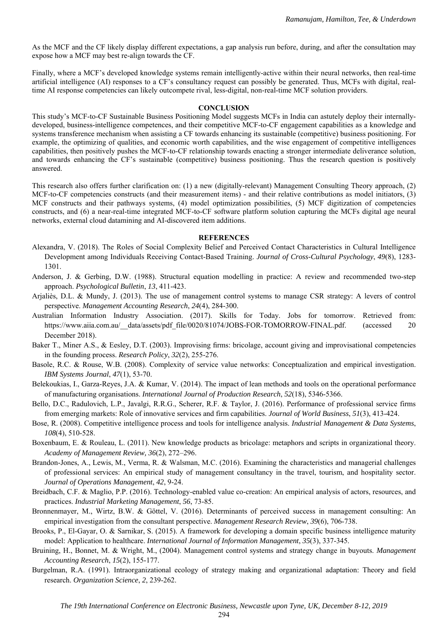As the MCF and the CF likely display different expectations, a gap analysis run before, during, and after the consultation may expose how a MCF may best re-align towards the CF.

Finally, where a MCF's developed knowledge systems remain intelligently-active within their neural networks, then real-time artificial intelligence (AI) responses to a CF's consultancy request can possibly be generated. Thus, MCFs with digital, realtime AI response competencies can likely outcompete rival, less-digital, non-real-time MCF solution providers.

#### **CONCLUSION**

This study's MCF-to-CF Sustainable Business Positioning Model suggests MCFs in India can astutely deploy their internallydeveloped, business-intelligence competences, and their competitive MCF-to-CF engagement capabilities as a knowledge and systems transference mechanism when assisting a CF towards enhancing its sustainable (competitive) business positioning. For example, the optimizing of qualities, and economic worth capabilities, and the wise engagement of competitive intelligences capabilities, then positively pushes the MCF-to-CF relationship towards enacting a stronger intermediate deliverance solution, and towards enhancing the CF's sustainable (competitive) business positioning. Thus the research question is positively answered.

This research also offers further clarification on: (1) a new (digitally-relevant) Management Consulting Theory approach, (2) MCF-to-CF competencies constructs (and their measurement items) - and their relative contributions as model initiators, (3) MCF constructs and their pathways systems, (4) model optimization possibilities, (5) MCF digitization of competencies constructs, and (6) a near-real-time integrated MCF-to-CF software platform solution capturing the MCFs digital age neural networks, external cloud datamining and AI-discovered item additions.

### **REFERENCES**

- Alexandra, V. (2018). The Roles of Social Complexity Belief and Perceived Contact Characteristics in Cultural Intelligence Development among Individuals Receiving Contact-Based Training. *Journal of Cross-Cultural Psychology*, *49*(8), 1283- 1301.
- Anderson, J. & Gerbing, D.W. (1988). Structural equation modelling in practice: A review and recommended two-step approach. *Psychological Bulletin*, *13*, 411-423.
- Arjaliès, D.L. & Mundy, J. (2013). The use of management control systems to manage CSR strategy: A levers of control perspective. *Management Accounting Research*, *24*(4), 284-300.
- Australian Information Industry Association. (2017). Skills for Today. Jobs for tomorrow. Retrieved from: https://www.aiia.com.au/ data/assets/pdf file/0020/81074/JOBS-FOR-TOMORROW-FINAL.pdf. (accessed 20 December 2018).
- Baker T., Miner A.S., & Eesley, D.T. (2003). Improvising firms: bricolage, account giving and improvisational competencies in the founding process. *Research Policy*, *32*(2), 255-276.
- Basole, R.C. & Rouse, W.B. (2008). Complexity of service value networks: Conceptualization and empirical investigation. *IBM Systems Journal*, *47*(1), 53-70.
- Belekoukias, I., Garza-Reyes, J.A. & Kumar, V. (2014). The impact of lean methods and tools on the operational performance of manufacturing organisations. *International Journal of Production Research*, *52*(18), 5346-5366.
- Bello, D.C., Radulovich, L.P., Javalgi, R.R.G., Scherer, R.F. & Taylor, J. (2016). Performance of professional service firms from emerging markets: Role of innovative services and firm capabilities. *Journal of World Business*, *51*(3), 413-424.
- Bose, R. (2008). Competitive intelligence process and tools for intelligence analysis. *Industrial Management & Data Systems*, *108*(4), 510-528.
- Boxenbaum, E. & Rouleau, L. (2011). New knowledge products as bricolage: metaphors and scripts in organizational theory. *Academy of Management Review, 36*(2), 272–296.
- Brandon-Jones, A., Lewis, M., Verma, R. & Walsman, M.C. (2016). Examining the characteristics and managerial challenges of professional services: An empirical study of management consultancy in the travel, tourism, and hospitality sector. *Journal of Operations Management*, *42*, 9-24.
- Breidbach, C.F. & Maglio, P.P. (2016). Technology-enabled value co-creation: An empirical analysis of actors, resources, and practices. *Industrial Marketing Management*, *56*, 73-85.
- Bronnenmayer, M., Wirtz, B.W. & Göttel, V. (2016). Determinants of perceived success in management consulting: An empirical investigation from the consultant perspective. *Management Research Review*, *39*(6), 706-738.
- Brooks, P., El-Gayar, O. & Sarnikar, S. (2015). A framework for developing a domain specific business intelligence maturity model: Application to healthcare. *International Journal of Information Management*, *35*(3), 337-345.
- Bruining, H., Bonnet, M. & Wright, M., (2004). Management control systems and strategy change in buyouts. *Management Accounting Research*, *15*(2), 155-177.
- Burgelman, R.A. (1991). Intraorganizational ecology of strategy making and organizational adaptation: Theory and field research. *Organization Science*, *2*, 239-262.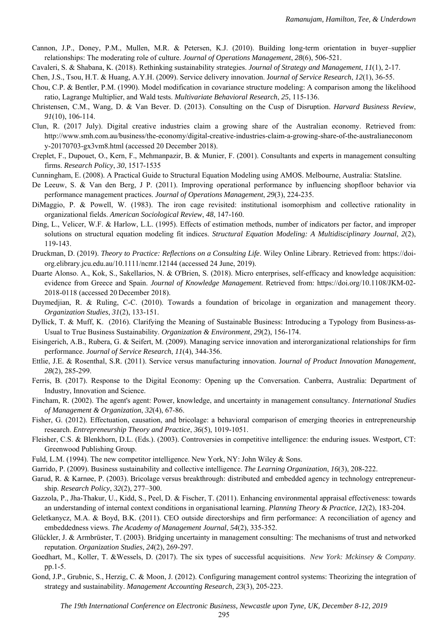- Cannon, J.P., Doney, P.M., Mullen, M.R. & Petersen, K.J. (2010). Building long-term orientation in buyer–supplier relationships: The moderating role of culture. *Journal of Operations Management*, *28*(6), 506-521.
- Cavaleri, S. & Shabana, K. (2018). Rethinking sustainability strategies. *Journal of Strategy and Management*, *11*(1), 2-17.

Chen, J.S., Tsou, H.T. & Huang, A.Y.H. (2009). Service delivery innovation. J*ournal of Service Research*, *12*(1), 36-55.

- Chou, C.P. & Bentler, P.M. (1990). Model modification in covariance structure modeling: A comparison among the likelihood ratio, Lagrange Multiplier, and Wald tests. *Multivariate Behavioral Research*, *25*, 115-136.
- Christensen, C.M., Wang, D. & Van Bever. D. (2013). Consulting on the Cusp of Disruption. *Harvard Business Review*, *91*(10), 106-114.
- Clun, R. (2017 July). Digital creative industries claim a growing share of the Australian economy. Retrieved from: http://www.smh.com.au/business/the-economy/digital-creative-industries-claim-a-growing-share-of-the-australianeconom y-20170703-gx3vm8.html (accessed 20 December 2018).
- Creplet, F., Dupouet, O., Kern, F., Mehmanpazir, B. & Munier, F. (2001). Consultants and experts in management consulting firms. *Research Policy*, *30*, 1517-1535
- Cunningham, E. (2008). A Practical Guide to Structural Equation Modeling using AMOS. Melbourne, Australia: Statsline.
- De Leeuw, S. & Van den Berg, J P. (2011). Improving operational performance by influencing shopfloor behavior via performance management practices. *Journal of Operations Management*, *29*(3), 224-235.
- DiMaggio, P. & Powell, W. (1983). The iron cage revisited: institutional isomorphism and collective rationality in organizational fields. *American Sociological Review*, *48*, 147-160.
- Ding, L., Velicer, W.F. & Harlow, L.L. (1995). Effects of estimation methods, number of indicators per factor, and improper solutions on structural equation modeling fit indices. *Structural Equation Modeling: A Multidisciplinary Journal*, *2*(2), 119-143.
- Druckman, D. (2019). *Theory to Practice: Reflections on a Consulting Life*. Wiley Online Library. Retrieved from: https://doiorg.elibrary.jcu.edu.au/10.1111/ncmr.12144 (accessed 24 June, 2019).
- Duarte Alonso. A., Kok, S., Sakellarios, N. & O'Brien, S. (2018). Micro enterprises, self-efficacy and knowledge acquisition: evidence from Greece and Spain. *Journal of Knowledge Management*. Retrieved from: https://doi.org/10.1108/JKM-02- 2018-0118 (accessed 20 December 2018).
- Duymedjian, R. & Ruling, C-C. (2010). Towards a foundation of bricolage in organization and management theory. *Organization Studies*, *31*(2), 133-151.
- Dyllick, T. & Muff, K. (2016). Clarifying the Meaning of Sustainable Business: Introducing a Typology from Business-as-Usual to True Business Sustainability. *Organization & Environment*, *29*(2), 156-174.
- Eisingerich, A.B., Rubera, G. & Seifert, M. (2009). Managing service innovation and interorganizational relationships for firm performance. *Journal of Service Research*, *11*(4), 344-356.
- Ettlie, J.E. & Rosenthal, S.R. (2011). Service versus manufacturing innovation. J*ournal of Product Innovation Management*, *28*(2), 285-299.
- Ferris, B. (2017). Response to the Digital Economy: Opening up the Conversation. Canberra, Australia: Department of Industry, Innovation and Science.
- Fincham, R. (2002). The agent's agent: Power, knowledge, and uncertainty in management consultancy. *International Studies of Management & Organization*, *32*(4), 67-86.
- Fisher, G. (2012). Effectuation, causation, and bricolage: a behavioral comparison of emerging theories in entrepreneurship research. *Entrepreneurship Theory and Practice*, *36*(5), 1019-1051.
- Fleisher, C.S. & Blenkhorn, D.L. (Eds.). (2003). Controversies in competitive intelligence: the enduring issues. Westport, CT: Greenwood Publishing Group.
- Fuld, L.M. (1994). The new competitor intelligence. New York, NY: John Wiley & Sons.
- Garrido, P. (2009). Business sustainability and collective intelligence. *The Learning Organization*, *16*(3), 208-222.
- Garud, R. & Karnøe, P. (2003). Bricolage versus breakthrough: distributed and embedded agency in technology entrepreneurship. *Research Policy*, *32*(2), 277–300.
- Gazzola, P., Jha-Thakur, U., Kidd, S., Peel, D. & Fischer, T. (2011). Enhancing environmental appraisal effectiveness: towards an understanding of internal context conditions in organisational learning. *Planning Theory & Practice*, *12*(2), 183-204.
- Geletkanycz, M.A. & Boyd, B.K. (2011). CEO outside directorships and firm performance: A reconciliation of agency and embeddedness views. *The Academy of Management Journal*, *54*(2), 335-352.
- Glückler, J. & Armbrüster, T. (2003). Bridging uncertainty in management consulting: The mechanisms of trust and networked reputation. *Organization Studies*, *24*(2), 269-297.
- Goedhart, M., Koller, T. &Wessels, D. (2017). The six types of successful acquisitions. *New York: Mckinsey & Company*. pp.1-5.
- Gond, J.P., Grubnic, S., Herzig, C. & Moon, J. (2012). Configuring management control systems: Theorizing the integration of strategy and sustainability. *Management Accounting Research*, *23*(3), 205-223.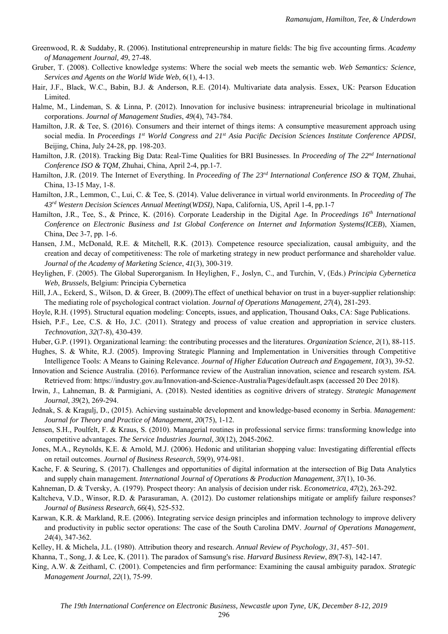- Greenwood, R. & Suddaby, R. (2006). Institutional entrepreneurship in mature fields: The big five accounting firms. *Academy of Management Journal, 49*, 27-48.
- Gruber, T. (2008). Collective knowledge systems: Where the social web meets the semantic web. *Web Semantics: Science, Services and Agents on the World Wide Web*, 6(1), 4-13.
- Hair, J.F., Black, W.C., Babin, B.J. & Anderson, R.E. (2014). Multivariate data analysis. Essex, UK: Pearson Education Limited.
- Halme, M., Lindeman, S. & Linna, P. (2012). Innovation for inclusive business: intrapreneurial bricolage in multinational corporations. *Journal of Management Studies*, *49*(4), 743-784.
- Hamilton, J.R. & Tee, S. (2016). Consumers and their internet of things items: A consumptive measurement approach using social media. In *Proceedings 1st World Congress and 21st Asia Pacific Decision Sciences Institute Conference APDSI*, Beijing, China, July 24-28, pp. 198-203.
- Hamilton, J.R. (2018). Tracking Big Data: Real-Time Qualities for BRI Businesses. In *Proceeding of The 22nd International Conference ISO & TQM*, Zhuhai, China, April 2-4, pp.1-7.
- Hamilton, J.R. (2019. The Internet of Everything. In *Proceeding of The 23rd International Conference ISO & TQM*, Zhuhai, China, 13-15 May, 1-8.
- Hamilton, J.R., Lemmon, C., Lui, C. & Tee, S. (2014). Value deliverance in virtual world environments. In *Proceeding of The 43rd Western Decision Sciences Annual Meeting*(*WDSI)*, Napa, California, US, April 1-4, pp.1-7
- Hamilton, J.R., Tee, S., & Prince, K. (2016). Corporate Leadership in the Digital A*ge.* In *Proceedings 16th International Conference on Electronic Business and 1st Global Conference on Internet and Information Systems(ICEB*), Xiamen, China, Dec 3-7, pp. 1-6.
- Hansen, J.M., McDonald, R.E. & Mitchell, R.K. (2013). Competence resource specialization, causal ambiguity, and the creation and decay of competitiveness: The role of marketing strategy in new product performance and shareholder value. *Journal of the Academy of Marketing Science*, *41*(3), 300-319.
- Heylighen, F. (2005). The Global Superorganism. In Heylighen, F., Joslyn, C., and Turchin, V, (Eds.) *Principia Cybernetica Web*, *Brussels*, Belgium: Principia Cybernetica
- Hill, J.A., Eckerd, S., Wilson, D. & Greer, B. (2009).The effect of unethical behavior on trust in a buyer-supplier relationship: The mediating role of psychological contract violation. *Journal of Operations Management*, *27*(4), 281-293.
- Hoyle, R.H. (1995). Structural equation modeling: Concepts, issues, and application, Thousand Oaks, CA: Sage Publications.
- Hsieh, P.F., Lee, C.S. & Ho, J.C. (2011). Strategy and process of value creation and appropriation in service clusters. *Technovation*, *32*(7-8), 430-439.
- Huber, G.P. (1991). Organizational learning: the contributing processes and the literatures. *Organization Science*, *2*(1), 88-115.
- Hughes, S. & White, R.J. (2005). Improving Strategic Planning and Implementation in Universities through Competitive Intelligence Tools: A Means to Gaining Relevance. *Journal of Higher Education Outreach and Engagement*, *10*(3), 39-52.
- Innovation and Science Australia. (2016). Performance review of the Australian innovation, science and research system. *ISA*. Retrieved from: https://industry.gov.au/Innovation-and-Science-Australia/Pages/default.aspx (accessed 20 Dec 2018).
- Irwin, J., Lahneman, B. & Parmigiani, A. (2018). Nested identities as cognitive drivers of strategy. *Strategic Management Journal*, *39*(2), 269-294.
- Jednak, S. & Kragulj, D., (2015). Achieving sustainable development and knowledge-based economy in Serbia. *Management: Journal for Theory and Practice of Management*, *20*(75), 1-12.
- Jensen, S.H., Poulfelt, F. & Kraus, S. (2010). Managerial routines in professional service firms: transforming knowledge into competitive advantages. *The Service Industries Journal*, *30*(12), 2045-2062.
- Jones, M.A., Reynolds, K.E. & Arnold, M.J. (2006). Hedonic and utilitarian shopping value: Investigating differential effects on retail outcomes. *Journal of Business Research*, *59*(9), 974-981.
- Kache, F. & Seuring, S. (2017). Challenges and opportunities of digital information at the intersection of Big Data Analytics and supply chain management. *International Journal of Operations & Production Management*, *37*(1), 10-36.
- Kahneman, D. & Tversky, A. (1979). Prospect theory: An analysis of decision under risk. *Econometrica*, *47*(2), 263-292.
- Kaltcheva, V.D., Winsor, R.D. & Parasuraman, A. (2012). Do customer relationships mitigate or amplify failure responses? *Journal of Business Research*, *66*(4), 525-532.
- Karwan, K.R. & Markland, R.E. (2006). Integrating service design principles and information technology to improve delivery and productivity in public sector operations: The case of the South Carolina DMV. *Journal of Operations Management*, *24*(4), 347-362.
- Kelley, H. & Michela, J.L. (1980). Attribution theory and research. *Annual Review of Psychology*, *31*, 457–501.
- Khanna, T., Song, J. & Lee, K. (2011). The paradox of Samsung's rise. *Harvard Business Review*, *89*(7-8), 142-147.
- King, A.W. & Zeithaml, C. (2001). Competencies and firm performance: Examining the causal ambiguity paradox. *Strategic Management Journal*, *22*(1), 75-99.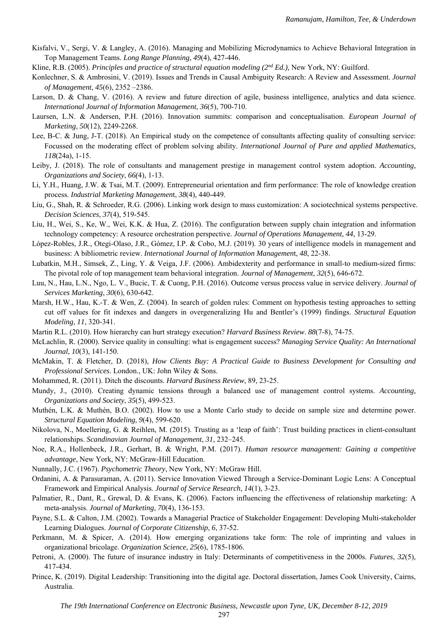- Kisfalvi, V., Sergi, V. & Langley, A. (2016). Managing and Mobilizing Microdynamics to Achieve Behavioral Integration in Top Management Teams. *Long Range Planning*, *49*(4), 427-446.
- Kline, R.B. (2005). *Principles and practice of structural equation modeling (2<sup>nd</sup> Ed.), New York, NY: Guilford.*
- Konlechner, S. & Ambrosini, V. (2019). Issues and Trends in Causal Ambiguity Research: A Review and Assessment. *Journal of Management*, *45*(6), 2352 –2386.
- Larson, D. & Chang, V. (2016). A review and future direction of agile, business intelligence, analytics and data science. *International Journal of Information Management*, *36*(5), 700-710.
- Laursen, L.N. & Andersen, P.H. (2016). Innovation summits: comparison and conceptualisation. *European Journal of Marketing*, *50*(12), 2249-2268.
- Lee, B-C. & Jung, J-T. (2018). An Empirical study on the competence of consultants affecting quality of consulting service: Focussed on the moderating effect of problem solving ability. *International Journal of Pure and applied Mathematics, 118*(24a), 1-15.
- Leiby, J. (2018). The role of consultants and management prestige in management control system adoption. *Accounting, Organizations and Society*, *66(*4), 1-13.
- Li, Y.H., Huang, J.W. & Tsai, M.T. (2009). Entrepreneurial orientation and firm performance: The role of knowledge creation process. *Industrial Marketing Managemen*t, *38*(4), 440-449.
- Liu, G., Shah, R. & Schroeder, R.G. (2006). Linking work design to mass customization: A sociotechnical systems perspective. *Decision Sciences*, *37*(4), 519-545.
- Liu, H., Wei, S., Ke, W., Wei, K.K. & Hua, Z. (2016). The configuration between supply chain integration and information technology competency: A resource orchestration perspective. *Journal of Operations Management*, *44*, 13-29.
- López-Robles, J.R., Otegi-Olaso, J.R., Gómez, I.P. & Cobo, M.J. (2019). 30 years of intelligence models in management and business: A bibliometric review. *International Journal of Information Managemen*t, *48*, 22-38.
- Lubatkin, M.H., Simsek, Z., Ling, Y. & Veiga, J.F. (2006). Ambidexterity and performance in small-to medium-sized firms: The pivotal role of top management team behavioral integration. *Journal of Management*, *32*(5), 646-672.
- Luu, N., Hau, L.N., Ngo, L. V., Bucic, T. & Cuong, P.H. (2016). Outcome versus process value in service delivery. *Journal of Services Marketing*, *30*(6), 630-642.
- Marsh, H.W., Hau, K.-T. & Wen, Z. (2004). In search of golden rules: Comment on hypothesis testing approaches to setting cut off values for fit indexes and dangers in overgeneralizing Hu and Bentler's (1999) findings. *Structural Equation Modeling*, *11*, 320-341.
- Martin R.L. (2010). How hierarchy can hurt strategy execution? *Harvard Business Review*. *88*(7-8), 74-75.
- McLachlin, R. (2000). Service quality in consulting: what is engagement success? *Managing Service Quality: An International Journal*, *10*(3), 141-150.
- McMakin, T. & Fletcher, D. (2018), *How Clients Buy: A Practical Guide to Business Development for Consulting and Professional Services*. London., UK: John Wiley & Sons.
- Mohammed, R. (2011). Ditch the discounts. *Harvard Business Review*, 89, 23-25.
- Mundy, J., (2010). Creating dynamic tensions through a balanced use of management control systems. *Accounting, Organizations and Society*, *35*(5), 499-523.
- Muthén, L.K. & Muthén, B.O. (2002). How to use a Monte Carlo study to decide on sample size and determine power. *Structural Equation Modeling*, *9*(4), 599-620.
- Nikolova, N., Moellering, G. & Reihlen, M. (2015). Trusting as a 'leap of faith': Trust building practices in client-consultant relationships. *Scandinavian Journal of Management*, *31*, 232–245.
- Noe, R.A., Hollenbeck, J.R., Gerhart, B. & Wright, P.M. (2017). *Human resource management: Gaining a competitive advantage*, New York, NY: McGraw-Hill Education.
- Nunnally, J.C. (1967). *Psychometric Theory*, New York, NY: McGraw Hill.
- Ordanini, A. & Parasuraman, A. (2011). Service Innovation Viewed Through a Service-Dominant Logic Lens: A Conceptual Framework and Empirical Analysis. *Journal of Service Research*, *14*(1), 3-23.
- Palmatier, R., Dant, R., Grewal, D. & Evans, K. (2006). Factors influencing the effectiveness of relationship marketing: A meta-analysis. *Journal of Marketing*, *70*(4), 136-153.
- Payne, S.L. & Calton, J.M. (2002). Towards a Managerial Practice of Stakeholder Engagement: Developing Multi-stakeholder Learning Dialogues. *Journal of Corporate Citizenship*, *6*, 37-52.
- Perkmann, M. & Spicer, A. (2014). How emerging organizations take form: The role of imprinting and values in organizational bricolage. *Organization Science*, *25*(6), 1785-1806.
- Petroni, A. (2000). The future of insurance industry in Italy: Determinants of competitiveness in the 2000s. *Futures*, *32*(5), 417-434.
- Prince, K. (2019). Digital Leadership: Transitioning into the digital age. Doctoral dissertation, James Cook University, Cairns, Australia.

297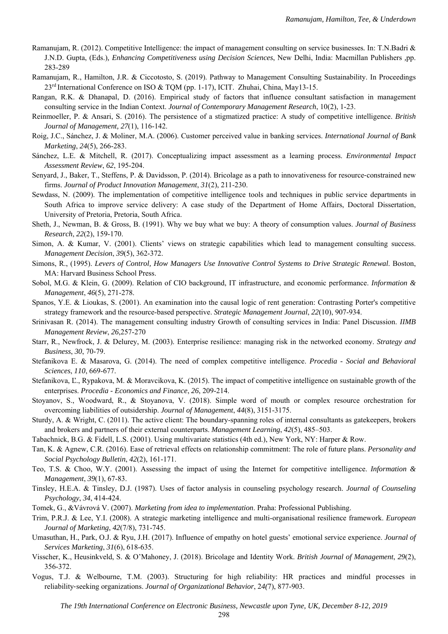- Ramanujam, R. (2012). Competitive Intelligence: the impact of management consulting on service businesses*.* In: T.N.Badri & J.N.D. Gupta, (Eds.)*, Enhancing Competitiveness using Decision Sciences*, New Delhi, India: Macmillan Publishers *,*pp. 283-289
- Ramanujam, R., Hamilton, J.R. & Ciccotosto, S. (2019). Pathway to Management Consulting Sustainability. In Proceedings 23rd International Conference on ISO & TQM (pp. 1-17), ICIT. Zhuhai, China, May13-15.
- Rangan, R.K. & Dhanapal, D. (2016). Empirical study of factors that influence consultant satisfaction in management consulting service in the Indian Context. *Journal of Contemporary Management Research*, 10(2), 1-23.
- Reinmoeller, P. & Ansari, S. (2016). The persistence of a stigmatized practice: A study of competitive intelligence. *British Journal of Management, 27*(1), 116-142.
- Roig, J.C., Sánchez, J. & Moliner, M.A. (2006). Customer perceived value in banking services. *International Journal of Bank Marketing*, *24*(5), 266-283.
- Sánchez, L.E. & Mitchell, R. (2017). Conceptualizing impact assessment as a learning process. *Environmental Impact Assessment Review*, *62*, 195-204.
- Senyard, J., Baker, T., Steffens, P. & Davidsson, P. (2014). Bricolage as a path to innovativeness for resource‐constrained new firms. *Journal of Product Innovation Management*, *31*(2), 211-230.
- Sewdass, N. (2009). The implementation of competitive intelligence tools and techniques in public service departments in South Africa to improve service delivery: A case study of the Department of Home Affairs, Doctoral Dissertation, University of Pretoria, Pretoria, South Africa.
- Sheth, J., Newman, B. & Gross, B. (1991). Why we buy what we buy: A theory of consumption values. *Journal of Business Research*, *22*(2), 159-170.
- Simon, A. & Kumar, V. (2001). Clients' views on strategic capabilities which lead to management consulting success. *Management Decision*, *39*(5), 362-372.
- Simons, R., (1995). *Levers of Control, How Managers Use Innovative Control Systems to Drive Strategic Renewal*. Boston, MA: Harvard Business School Press.
- Sobol, M.G. & Klein, G. (2009). Relation of CIO background, IT infrastructure, and economic performance. *Information & Management*, *46*(5), 271-278.
- Spanos, Y.E. & Lioukas, S. (2001). An examination into the causal logic of rent generation: Contrasting Porter's competitive strategy framework and the resource-based perspective. *Strategic Management Journal*, *22*(10), 907-934.
- Srinivasan R. (2014). The management consulting industry Growth of consulting services in India: Panel Discussion. *IIMB Management Review*, *26*,257-270
- Starr, R., Newfrock, J. & Delurey, M. (2003). Enterprise resilience: managing risk in the networked economy. *Strategy and Business*, *30*, 70-79.
- Stefanikova E. & Masarova, G. (2014). The need of complex competitive intelligence. *Procedia Social and Behavioral Sciences*, *110*, 669-677.
- Stefanikova, Ľ., Rypakova, M. & Moravcikova, K. (2015). The impact of competitive intelligence on sustainable growth of the enterprises. *Procedia - Economics and Finance*, *26*, 209-214.
- Stoyanov, S., Woodward, R., & Stoyanova, V. (2018). Simple word of mouth or complex resource orchestration for overcoming liabilities of outsidership. *Journal of Management*, *44*(8), 3151-3175.
- Sturdy, A. & Wright, C. (2011). The active client: The boundary-spanning roles of internal consultants as gatekeepers, brokers and brokers and partners of their external counterparts. *Management Learning*, *42*(5), 485–503.
- Tabachnick, B.G. & Fidell, L.S. (2001). Using multivariate statistics (4th ed.), New York, NY: Harper & Row.
- Tan, K. & Agnew, C.R. (2016). Ease of retrieval effects on relationship commitment: The role of future plans. *Personality and Social Psychology Bulletin*, *42*(2), 161-171.
- Teo, T.S. & Choo, W.Y. (2001). Assessing the impact of using the Internet for competitive intelligence. *Information & Management*, *39*(1), 67-83.
- Tinsley, H.E.A. & Tinsley, D.J. (1987). Uses of factor analysis in counseling psychology research. *Journal of Counseling Psychology*, *34*, 414-424.
- Tomek, G., &Vávrová V. (2007). *Marketing from idea to implementation*. Praha: Professional Publishing.
- Trim, P.R.J. & Lee, Y.I. (2008). A strategic marketing intelligence and multi-organisational resilience framework. *European Journal of Marketing*, *42*(7/8), 731-745.
- Umasuthan, H., Park, O.J. & Ryu, J.H. (2017). Influence of empathy on hotel guests' emotional service experience. *Journal of Services Marketing*, *31*(6), 618-635.
- Visscher, K., Heusinkveld, S. & O'Mahoney, J. (2018). Bricolage and Identity Work. *British Journal of Management*, *29*(2), 356-372.
- Vogus, T.J. & Welbourne, T.M. (2003). Structuring for high reliability: HR practices and mindful processes in reliability‐seeking organizations. *Journal of Organizational Behavior*, 2*4(*7), 877-903.